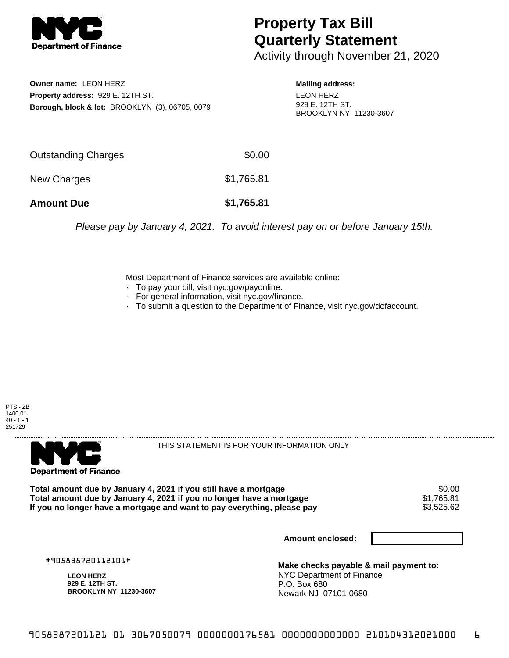

## **Property Tax Bill Quarterly Statement**

Activity through November 21, 2020

**Owner name:** LEON HERZ **Property address:** 929 E. 12TH ST. **Borough, block & lot:** BROOKLYN (3), 06705, 0079 **Mailing address:** LEON HERZ 929 E. 12TH ST. BROOKLYN NY 11230-3607

| <b>Amount Due</b>   | \$1,765.81 |
|---------------------|------------|
| New Charges         | \$1,765.81 |
| Outstanding Charges | \$0.00     |

Please pay by January 4, 2021. To avoid interest pay on or before January 15th.

Most Department of Finance services are available online:

- · To pay your bill, visit nyc.gov/payonline.
- For general information, visit nyc.gov/finance.
- · To submit a question to the Department of Finance, visit nyc.gov/dofaccount.





THIS STATEMENT IS FOR YOUR INFORMATION ONLY

Total amount due by January 4, 2021 if you still have a mortgage  $$0.00$ <br>Total amount due by January 4, 2021 if you no longer have a mortgage  $$1,765.81$ **Total amount due by January 4, 2021 if you no longer have a mortgage**  $$1,765.81$ **<br>If you no longer have a mortgage and want to pay everything, please pay <b>show that have use** \$3,525.62 If you no longer have a mortgage and want to pay everything, please pay

**Amount enclosed:**

#905838720112101#

**LEON HERZ 929 E. 12TH ST. BROOKLYN NY 11230-3607**

**Make checks payable & mail payment to:** NYC Department of Finance P.O. Box 680 Newark NJ 07101-0680